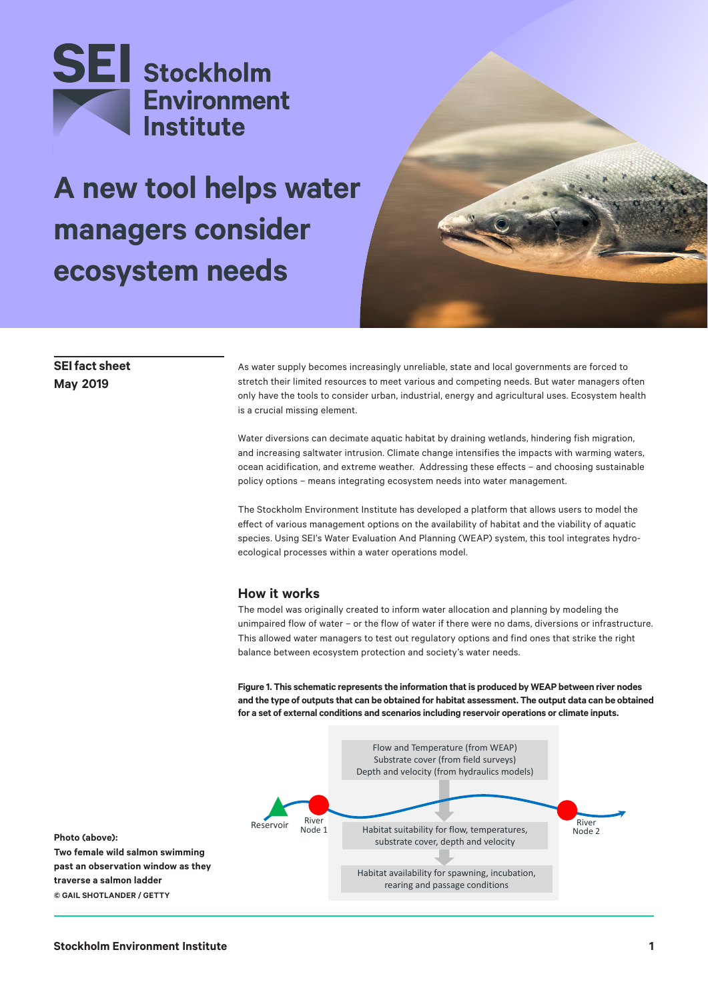

# **A new tool helps water managers consider ecosystem needs**



## **SEI fact sheet May 2019**

As water supply becomes increasingly unreliable, state and local governments are forced to stretch their limited resources to meet various and competing needs. But water managers often only have the tools to consider urban, industrial, energy and agricultural uses. Ecosystem health is a crucial missing element.

Water diversions can decimate aquatic habitat by draining wetlands, hindering fish migration, and increasing saltwater intrusion. Climate change intensifies the impacts with warming waters, ocean acidification, and extreme weather. Addressing these effects – and choosing sustainable policy options – means integrating ecosystem needs into water management.

The Stockholm Environment Institute has developed a platform that allows users to model the effect of various management options on the availability of habitat and the viability of aquatic species. Using SEI's Water Evaluation And Planning (WEAP) system, this tool integrates hydroecological processes within a water operations model.

### **How it works**

The model was originally created to inform water allocation and planning by modeling the unimpaired flow of water – or the flow of water if there were no dams, diversions or infrastructure. This allowed water managers to test out regulatory options and find ones that strike the right balance between ecosystem protection and society's water needs.

**Figure 1. This schematic represents the information that is produced by WEAP between river nodes and the type of outputs that can be obtained for habitat assessment. The output data can be obtained for a set of external conditions and scenarios including reservoir operations or climate inputs.**